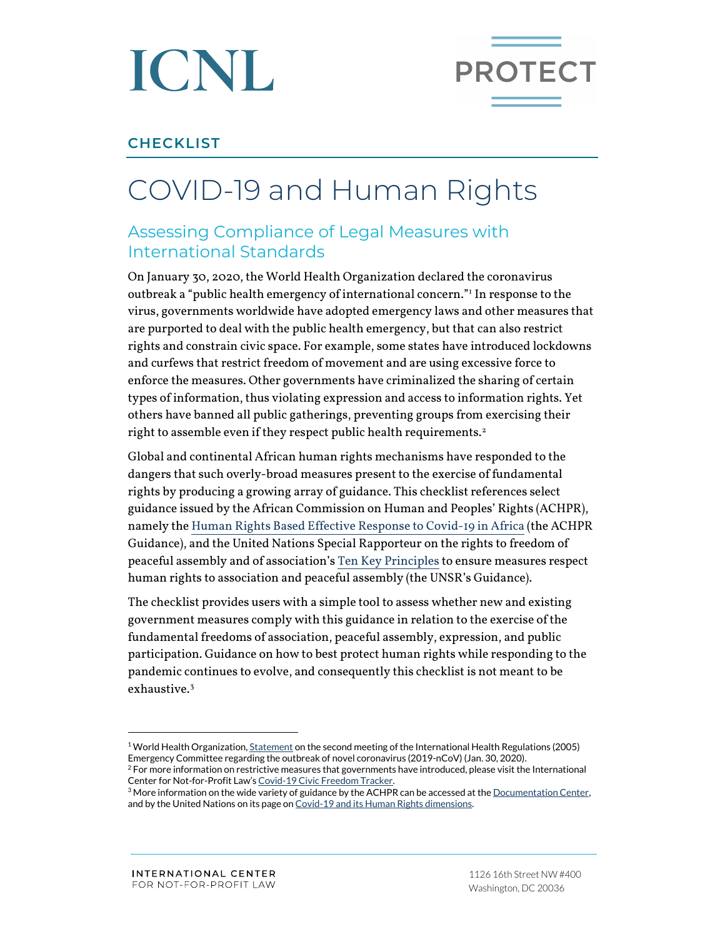



## **CHECKLIST**

## COVID-19 and Human Rights

## Assessing Compliance of Legal Measures with International Standards

On January 30, 2020, the World Health Organization declared the coronavirus outbreak a "public health emergency of international concern."[1](#page-0-0) In response to the virus, governments worldwide have adopted emergency laws and other measures that are purported to deal with the public health emergency, but that can also restrict rights and constrain civic space. For example, some states have introduced lockdowns and curfews that restrict freedom of movement and are using excessive force to enforce the measures. Other governments have criminalized the sharing of certain types of information, thus violating expression and access to information rights. Yet others have banned all public gatherings, preventing groups from exercising their right to assemble even if they respect public health requirements.<sup>[2](#page-0-1)</sup>

Global and continental African human rights mechanisms have responded to the dangers that such overly-broad measures present to the exercise of fundamental rights by producing a growing array of guidance. This checklist references select guidance issued by the African Commission on Human and Peoples' Rights (ACHPR), namely th[e Human Rights Based Effective Response to Covid-19 in Africa](https://www.achpr.org/pressrelease/detail?id=483) (the ACHPR Guidance), and the United Nations Special Rapporteur on the rights to freedom of peaceful assembly and of association'[s Ten Key Principles](https://www.ohchr.org/EN/NewsEvents/Pages/DisplayNews.aspx?NewsID=25788&LangID=E) to ensure measures respect human rights to association and peaceful assembly (the UNSR's Guidance).

The checklist provides users with a simple tool to assess whether new and existing government measures comply with this guidance in relation to the exercise of the fundamental freedoms of association, peaceful assembly, expression, and public participation. Guidance on how to best protect human rights while responding to the pandemic continues to evolve, and consequently this checklist is not meant to be exhaustive.[3](#page-0-2)

<span id="page-0-0"></span><sup>&</sup>lt;sup>1</sup> World Health Organization[, Statement](https://www.who.int/news-room/detail/30-01-2020-statement-on-the-second-meeting-of-the-international-health-regulations-(2005)-emergency-committee-regarding-the-outbreak-of-novel-coronavirus-(2019-ncov)) on the second meeting of the International Health Regulations (2005) Emergency Committee regarding the outbreak of novel coronavirus (2019-nCoV) (Jan. 30, 2020).<br><sup>2</sup> For more information on restrictive measures that governments have introduced, please visit the International<br>Center for Not-

<span id="page-0-1"></span>

<span id="page-0-2"></span> $3$  More information on the wide variety of guidance by the ACHPR can be accessed at the Documentation Center, and by the United Nations on its page o[n Covid-19 and its Human Rights dimensions.](https://www.ohchr.org/EN/NewsEvents/Pages/COVID-19.aspx)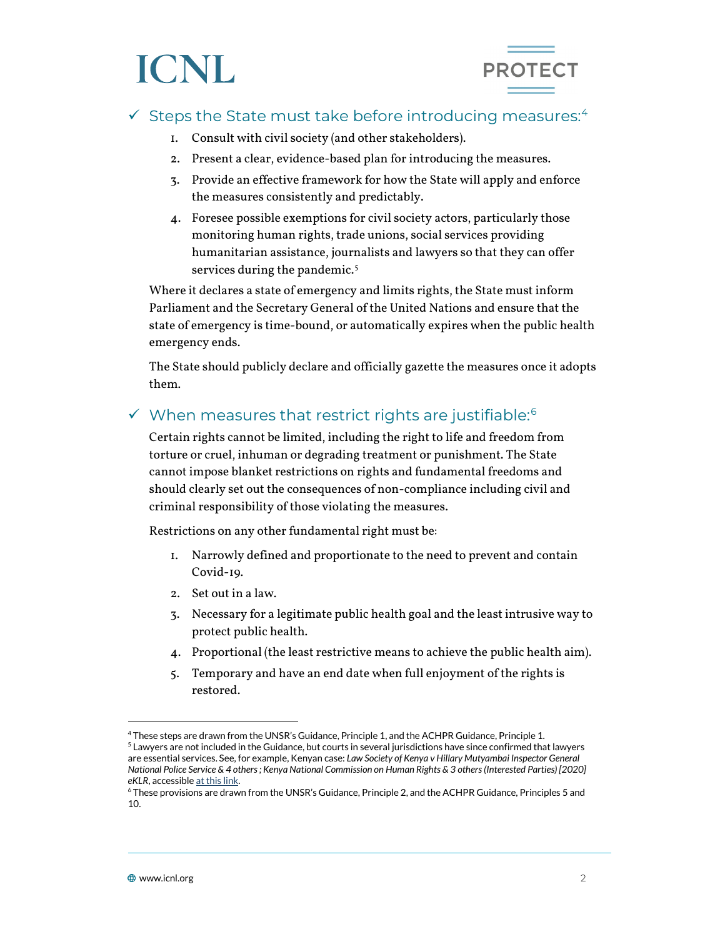# ICNL



## $\checkmark$  Steps the State must take before introducing measures:<sup>[4](#page-1-0)</sup>

- 1. Consult with civil society (and other stakeholders).
- 2. Present a clear, evidence-based plan for introducing the measures.
- 3. Provide an effective framework for how the State will apply and enforce the measures consistently and predictably.
- 4. Foresee possible exemptions for civil society actors, particularly those monitoring human rights, trade unions, social services providing humanitarian assistance, journalists and lawyers so that they can offer services during the pandemic.<sup>[5](#page-1-1)</sup>

Where it declares a state of emergency and limits rights, the State must inform Parliament and the Secretary General of the United Nations and ensure that the state of emergency is time-bound, or automatically expires when the public health emergency ends.

The State should publicly declare and officially gazette the measures once it adopts them.

## $\checkmark$  When measures that restrict rights are justifiable:<sup>[6](#page-1-2)</sup>

Certain rights cannot be limited, including the right to life and freedom from torture or cruel, inhuman or degrading treatment or punishment. The State cannot impose blanket restrictions on rights and fundamental freedoms and should clearly set out the consequences of non-compliance including civil and criminal responsibility of those violating the measures.

Restrictions on any other fundamental right must be:

- 1. Narrowly defined and proportionate to the need to prevent and contain Covid-19.
- 2. Set out in a law.
- 3. Necessary for a legitimate public health goal and the least intrusive way to protect public health.
- 4. Proportional (the least restrictive means to achieve the public health aim).
- 5. Temporary and have an end date when full enjoyment of the rights is restored.

<span id="page-1-1"></span><span id="page-1-0"></span><sup>&</sup>lt;sup>4</sup> These steps are drawn from the UNSR's Guidance, Principle 1, and the ACHPR Guidance, Principle 1.<br><sup>5</sup> Lawyers are not included in the Guidance, but courts in several jurisdictions have since confirmed that lawyers are essential services. See, for example, Kenyan case: *Law Society of Kenya v Hillary Mutyambai Inspector General National Police Service & 4 others ; Kenya National Commission on Human Rights & 3 others (Interested Parties) [2020] eKLR*, accessibl[e at this link.](http://kenyalaw.org/caselaw/cases/view/193192/)

<span id="page-1-2"></span><sup>6</sup> These provisions are drawn from the UNSR's Guidance, Principle 2, and the ACHPR Guidance, Principles 5 and 10.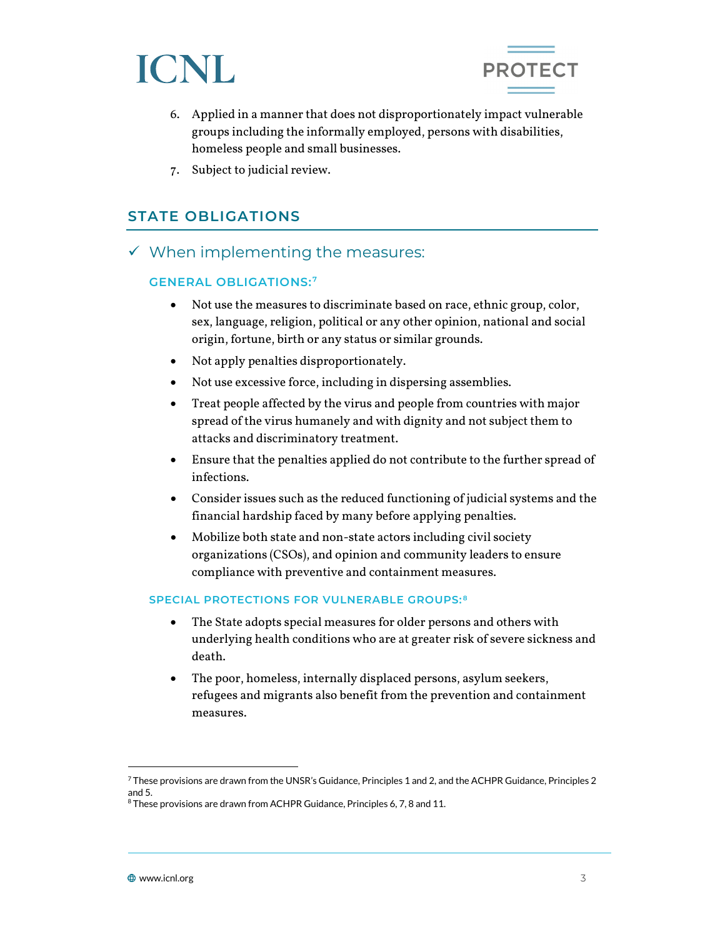



- 6. Applied in a manner that does not disproportionately impact vulnerable groups including the informally employed, persons with disabilities, homeless people and small businesses.
- 7. Subject to judicial review.

## **STATE OBLIGATIONS**

 $\checkmark$  When implementing the measures:

#### **GENERAL OBLIGATIONS: [7](#page-2-0)**

- Not use the measures to discriminate based on race, ethnic group, color, sex, language, religion, political or any other opinion, national and social origin, fortune, birth or any status or similar grounds.
- Not apply penalties disproportionately.
- Not use excessive force, including in dispersing assemblies.
- Treat people affected by the virus and people from countries with major spread of the virus humanely and with dignity and not subject them to attacks and discriminatory treatment.
- Ensure that the penalties applied do not contribute to the further spread of infections.
- Consider issues such as the reduced functioning of judicial systems and the financial hardship faced by many before applying penalties.
- Mobilize both state and non-state actors including civil society organizations (CSOs), and opinion and community leaders to ensure compliance with preventive and containment measures.

#### **SPECIAL PROTECTIONS FOR VULNERABLE GROUPS: [8](#page-2-1)**

- The State adopts special measures for older persons and others with underlying health conditions who are at greater risk of severe sickness and death.
- The poor, homeless, internally displaced persons, asylum seekers, refugees and migrants also benefit from the prevention and containment measures.

<span id="page-2-0"></span> $^7$  These provisions are drawn from the UNSR's Guidance, Principles 1 and 2, and the ACHPR Guidance, Principles 2 and 5.

<span id="page-2-1"></span><sup>&</sup>lt;sup>8</sup> These provisions are drawn from ACHPR Guidance, Principles 6, 7, 8 and 11.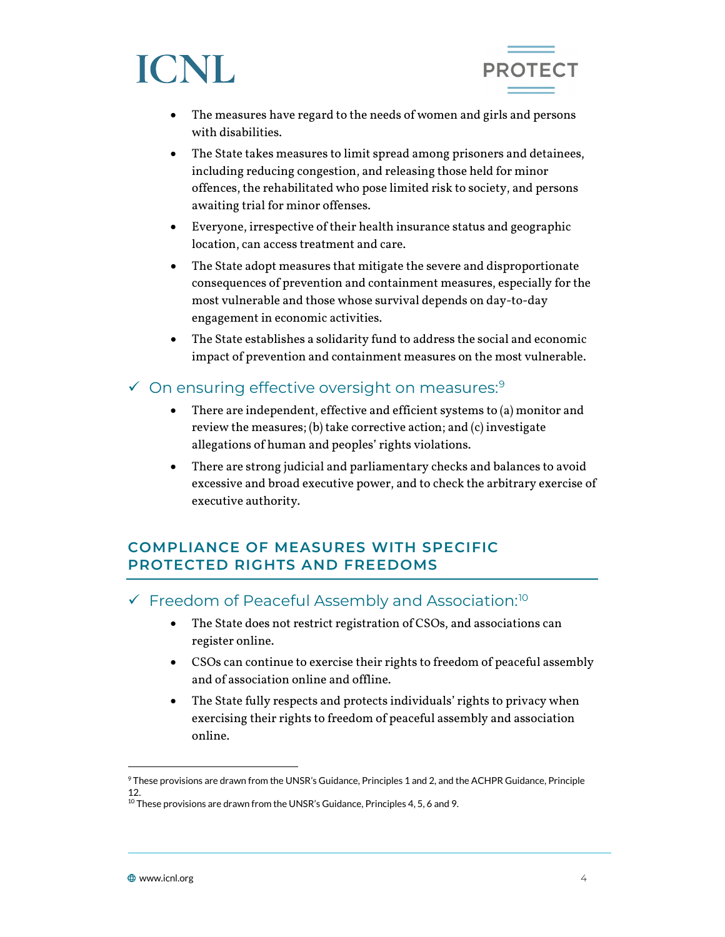



- The measures have regard to the needs of women and girls and persons with disabilities.
- The State takes measures to limit spread among prisoners and detainees, including reducing congestion, and releasing those held for minor offences, the rehabilitated who pose limited risk to society, and persons awaiting trial for minor offenses.
- Everyone, irrespective of their health insurance status and geographic location, can access treatment and care.
- The State adopt measures that mitigate the severe and disproportionate consequences of prevention and containment measures, especially for the most vulnerable and those whose survival depends on day-to-day engagement in economic activities.
- The State establishes a solidarity fund to address the social and economic impact of prevention and containment measures on the most vulnerable.

## $\checkmark$  On ensuring effective oversight on measures:<sup>[9](#page-3-0)</sup>

- There are independent, effective and efficient systems to (a) monitor and review the measures; (b) take corrective action; and (c) investigate allegations of human and peoples' rights violations.
- There are strong judicial and parliamentary checks and balances to avoid excessive and broad executive power, and to check the arbitrary exercise of executive authority.

## **COMPLIANCE OF MEASURES WITH SPECIFIC PROTECTED RIGHTS AND FREEDOMS**

## $\checkmark$  Freedom of Peaceful Assembly and Association:<sup>[10](#page-3-1)</sup>

- The State does not restrict registration of CSOs, and associations can register online.
- CSOs can continue to exercise their rights to freedom of peaceful assembly and of association online and offline.
- The State fully respects and protects individuals' rights to privacy when exercising their rights to freedom of peaceful assembly and association online.

<span id="page-3-0"></span><sup>9</sup> These provisions are drawn from the UNSR's Guidance, Principles 1 and 2, and the ACHPR Guidance, Principle 12.

<span id="page-3-1"></span> $10$  These provisions are drawn from the UNSR's Guidance, Principles 4, 5, 6 and 9.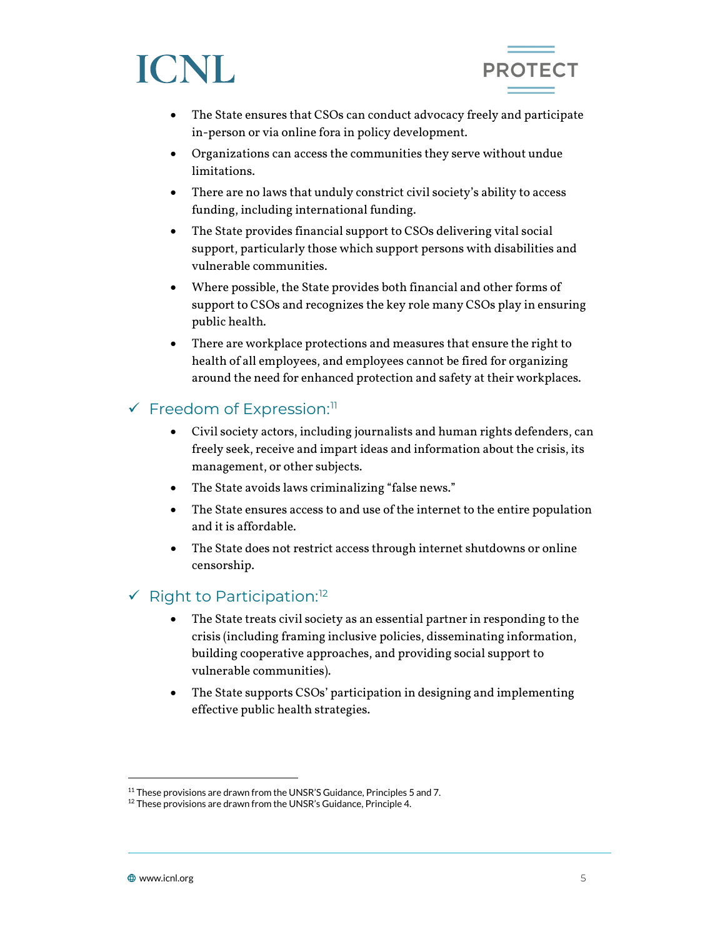



- The State ensures that CSOs can conduct advocacy freely and participate in-person or via online fora in policy development.
- Organizations can access the communities they serve without undue limitations.
- There are no laws that unduly constrict civil society's ability to access funding, including international funding.
- The State provides financial support to CSOs delivering vital social support, particularly those which support persons with disabilities and vulnerable communities.
- Where possible, the State provides both financial and other forms of support to CSOs and recognizes the key role many CSOs play in ensuring public health.
- There are workplace protections and measures that ensure the right to health of all employees, and employees cannot be fired for organizing around the need for enhanced protection and safety at their workplaces.

## $\checkmark$  Freedom of Expression:<sup>[11](#page-4-0)</sup>

- Civil society actors, including journalists and human rights defenders, can freely seek, receive and impart ideas and information about the crisis, its management, or other subjects.
- The State avoids laws criminalizing "false news."
- The State ensures access to and use of the internet to the entire population and it is affordable.
- The State does not restrict access through internet shutdowns or online censorship.

## $\checkmark$  Right to Participation:<sup>[12](#page-4-1)</sup>

- The State treats civil society as an essential partner in responding to the crisis (including framing inclusive policies, disseminating information, building cooperative approaches, and providing social support to vulnerable communities).
- The State supports CSOs' participation in designing and implementing effective public health strategies.

<span id="page-4-0"></span><sup>&</sup>lt;sup>11</sup> These provisions are drawn from the UNSR'S Guidance, Principles 5 and 7.

<span id="page-4-1"></span> $12$  These provisions are drawn from the UNSR's Guidance, Principle 4.